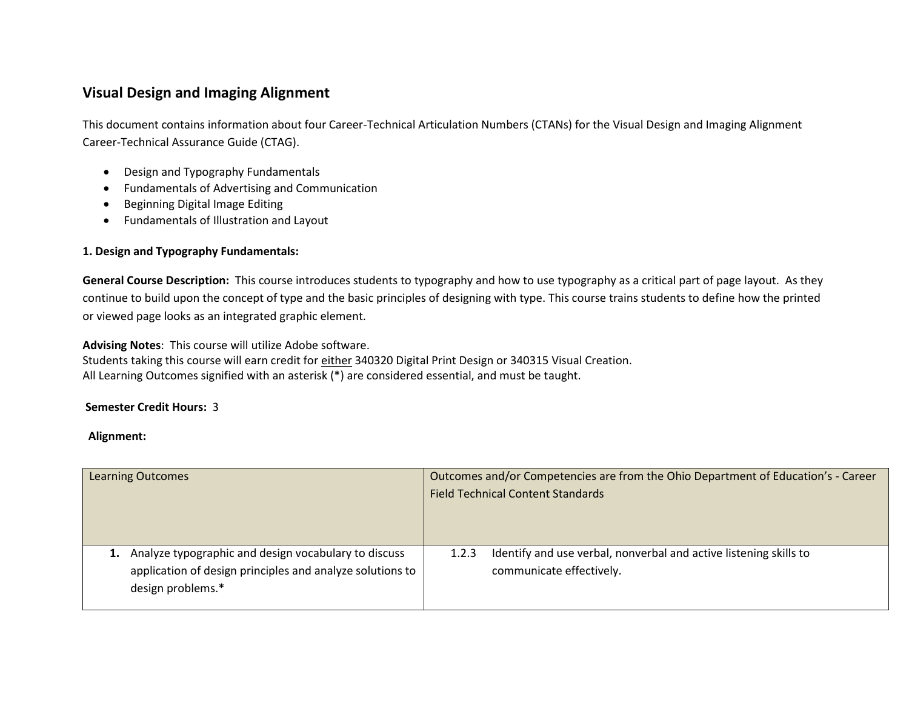# **Visual Design and Imaging Alignment**

This document contains information about four Career-Technical Articulation Numbers (CTANs) for the Visual Design and Imaging Alignment Career-Technical Assurance Guide (CTAG).

- Design and Typography Fundamentals
- Fundamentals of Advertising and Communication
- Beginning Digital Image Editing
- Fundamentals of Illustration and Layout

## **1. Design and Typography Fundamentals:**

**General Course Description:** This course introduces students to typography and how to use typography as a critical part of page layout. As they continue to build upon the concept of type and the basic principles of designing with type. This course trains students to define how the printed or viewed page looks as an integrated graphic element.

**Advising Notes**: This course will utilize Adobe software.

Students taking this course will earn credit for either 340320 Digital Print Design or 340315 Visual Creation. All Learning Outcomes signified with an asterisk (\*) are considered essential, and must be taught.

### **Semester Credit Hours:** 3

| <b>Learning Outcomes</b>                                  |       | Outcomes and/or Competencies are from the Ohio Department of Education's - Career |
|-----------------------------------------------------------|-------|-----------------------------------------------------------------------------------|
|                                                           |       | <b>Field Technical Content Standards</b>                                          |
|                                                           |       |                                                                                   |
|                                                           |       |                                                                                   |
| 1. Analyze typographic and design vocabulary to discuss   | 1.2.3 | Identify and use verbal, nonverbal and active listening skills to                 |
| application of design principles and analyze solutions to |       | communicate effectively.                                                          |
| design problems.*                                         |       |                                                                                   |
|                                                           |       |                                                                                   |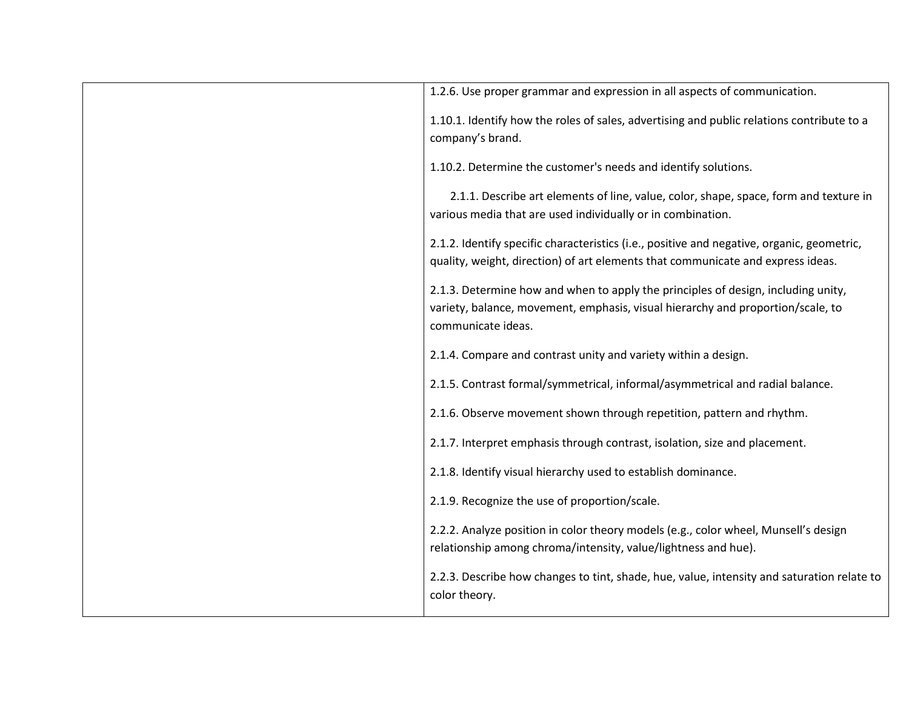| 1.2.6. Use proper grammar and expression in all aspects of communication.                  |
|--------------------------------------------------------------------------------------------|
|                                                                                            |
| 1.10.1. Identify how the roles of sales, advertising and public relations contribute to a  |
| company's brand.                                                                           |
|                                                                                            |
| 1.10.2. Determine the customer's needs and identify solutions.                             |
| 2.1.1. Describe art elements of line, value, color, shape, space, form and texture in      |
| various media that are used individually or in combination.                                |
|                                                                                            |
| 2.1.2. Identify specific characteristics (i.e., positive and negative, organic, geometric, |
| quality, weight, direction) of art elements that communicate and express ideas.            |
|                                                                                            |
| 2.1.3. Determine how and when to apply the principles of design, including unity,          |
| variety, balance, movement, emphasis, visual hierarchy and proportion/scale, to            |
| communicate ideas.                                                                         |
|                                                                                            |
| 2.1.4. Compare and contrast unity and variety within a design.                             |
|                                                                                            |
| 2.1.5. Contrast formal/symmetrical, informal/asymmetrical and radial balance.              |
|                                                                                            |
| 2.1.6. Observe movement shown through repetition, pattern and rhythm.                      |
|                                                                                            |
| 2.1.7. Interpret emphasis through contrast, isolation, size and placement.                 |
| 2.1.8. Identify visual hierarchy used to establish dominance.                              |
|                                                                                            |
| 2.1.9. Recognize the use of proportion/scale.                                              |
|                                                                                            |
| 2.2.2. Analyze position in color theory models (e.g., color wheel, Munsell's design        |
| relationship among chroma/intensity, value/lightness and hue).                             |
|                                                                                            |
| 2.2.3. Describe how changes to tint, shade, hue, value, intensity and saturation relate to |
| color theory.                                                                              |
|                                                                                            |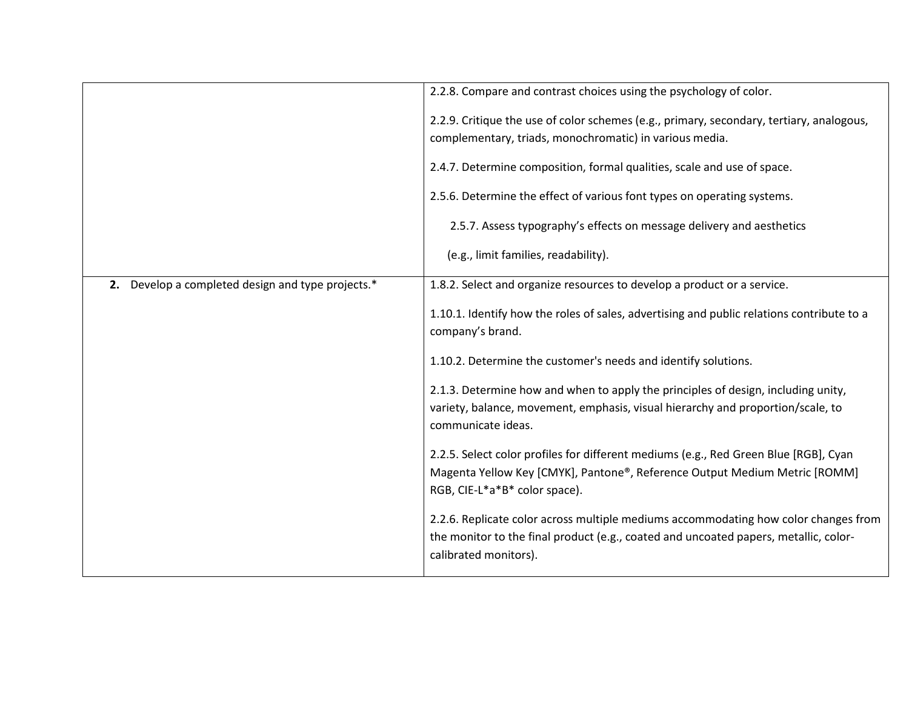|                                                   | 2.2.8. Compare and contrast choices using the psychology of color.                                                                                                                                   |
|---------------------------------------------------|------------------------------------------------------------------------------------------------------------------------------------------------------------------------------------------------------|
|                                                   | 2.2.9. Critique the use of color schemes (e.g., primary, secondary, tertiary, analogous,<br>complementary, triads, monochromatic) in various media.                                                  |
|                                                   | 2.4.7. Determine composition, formal qualities, scale and use of space.                                                                                                                              |
|                                                   | 2.5.6. Determine the effect of various font types on operating systems.                                                                                                                              |
|                                                   | 2.5.7. Assess typography's effects on message delivery and aesthetics                                                                                                                                |
|                                                   | (e.g., limit families, readability).                                                                                                                                                                 |
| 2. Develop a completed design and type projects.* | 1.8.2. Select and organize resources to develop a product or a service.                                                                                                                              |
|                                                   | 1.10.1. Identify how the roles of sales, advertising and public relations contribute to a<br>company's brand.                                                                                        |
|                                                   | 1.10.2. Determine the customer's needs and identify solutions.                                                                                                                                       |
|                                                   | 2.1.3. Determine how and when to apply the principles of design, including unity,<br>variety, balance, movement, emphasis, visual hierarchy and proportion/scale, to<br>communicate ideas.           |
|                                                   | 2.2.5. Select color profiles for different mediums (e.g., Red Green Blue [RGB], Cyan<br>Magenta Yellow Key [CMYK], Pantone®, Reference Output Medium Metric [ROMM]<br>RGB, CIE-L*a*B* color space).  |
|                                                   | 2.2.6. Replicate color across multiple mediums accommodating how color changes from<br>the monitor to the final product (e.g., coated and uncoated papers, metallic, color-<br>calibrated monitors). |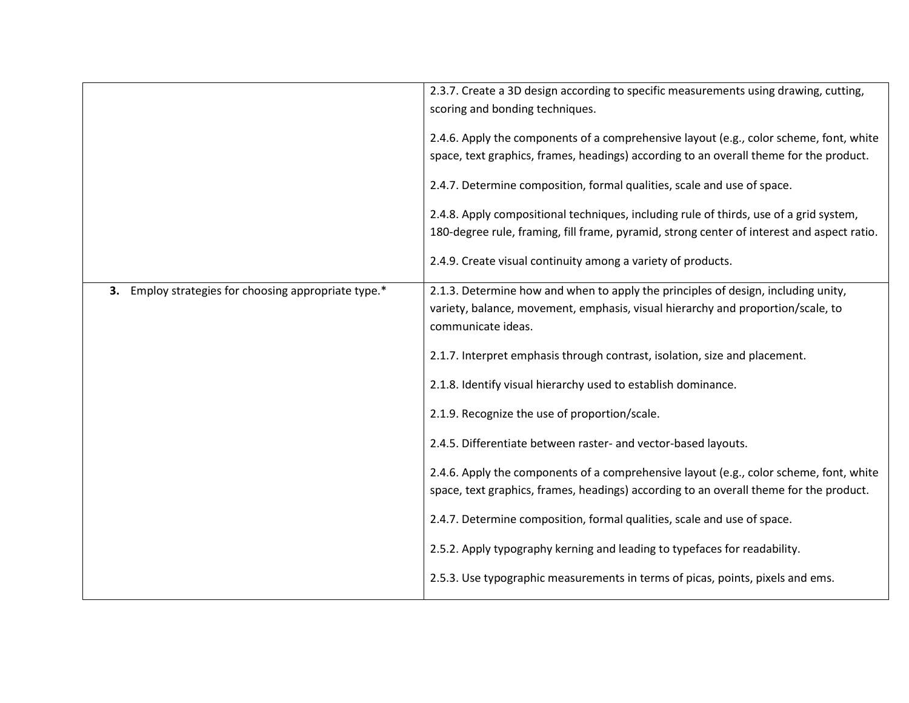|                                                         | 2.3.7. Create a 3D design according to specific measurements using drawing, cutting,<br>scoring and bonding techniques.<br>2.4.6. Apply the components of a comprehensive layout (e.g., color scheme, font, white<br>space, text graphics, frames, headings) according to an overall theme for the product.<br>2.4.7. Determine composition, formal qualities, scale and use of space.<br>2.4.8. Apply compositional techniques, including rule of thirds, use of a grid system,<br>180-degree rule, framing, fill frame, pyramid, strong center of interest and aspect ratio. |
|---------------------------------------------------------|--------------------------------------------------------------------------------------------------------------------------------------------------------------------------------------------------------------------------------------------------------------------------------------------------------------------------------------------------------------------------------------------------------------------------------------------------------------------------------------------------------------------------------------------------------------------------------|
|                                                         | 2.4.9. Create visual continuity among a variety of products.                                                                                                                                                                                                                                                                                                                                                                                                                                                                                                                   |
| Employ strategies for choosing appropriate type.*<br>3. | 2.1.3. Determine how and when to apply the principles of design, including unity,<br>variety, balance, movement, emphasis, visual hierarchy and proportion/scale, to<br>communicate ideas.                                                                                                                                                                                                                                                                                                                                                                                     |
|                                                         | 2.1.7. Interpret emphasis through contrast, isolation, size and placement.                                                                                                                                                                                                                                                                                                                                                                                                                                                                                                     |
|                                                         | 2.1.8. Identify visual hierarchy used to establish dominance.                                                                                                                                                                                                                                                                                                                                                                                                                                                                                                                  |
|                                                         | 2.1.9. Recognize the use of proportion/scale.                                                                                                                                                                                                                                                                                                                                                                                                                                                                                                                                  |
|                                                         | 2.4.5. Differentiate between raster- and vector-based layouts.                                                                                                                                                                                                                                                                                                                                                                                                                                                                                                                 |
|                                                         | 2.4.6. Apply the components of a comprehensive layout (e.g., color scheme, font, white<br>space, text graphics, frames, headings) according to an overall theme for the product.                                                                                                                                                                                                                                                                                                                                                                                               |
|                                                         | 2.4.7. Determine composition, formal qualities, scale and use of space.                                                                                                                                                                                                                                                                                                                                                                                                                                                                                                        |
|                                                         | 2.5.2. Apply typography kerning and leading to typefaces for readability.                                                                                                                                                                                                                                                                                                                                                                                                                                                                                                      |
|                                                         | 2.5.3. Use typographic measurements in terms of picas, points, pixels and ems.                                                                                                                                                                                                                                                                                                                                                                                                                                                                                                 |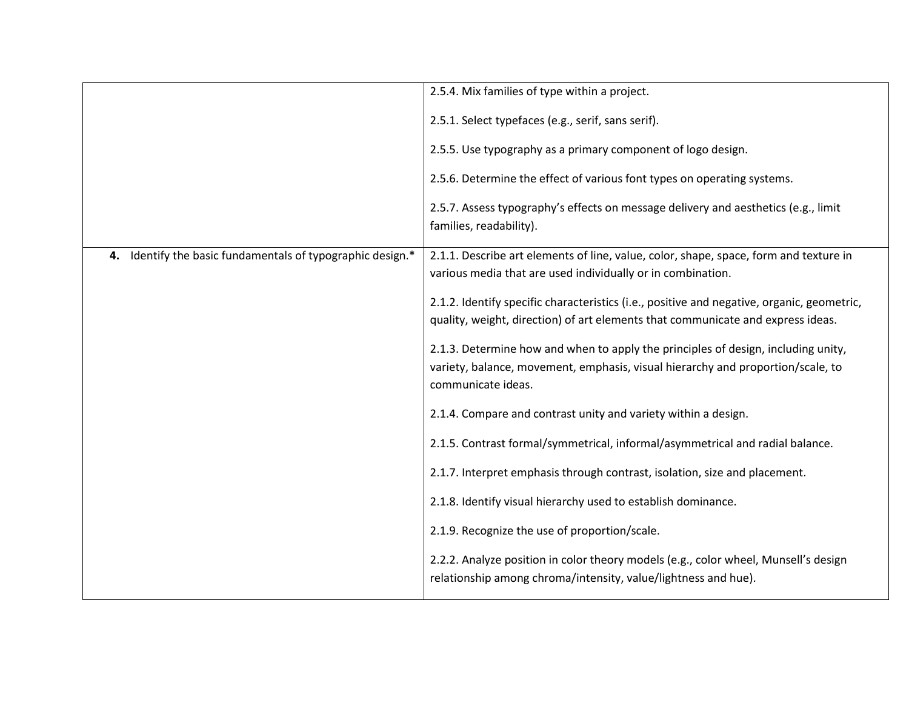|                                                            | 2.5.4. Mix families of type within a project.                                                                                                                                              |
|------------------------------------------------------------|--------------------------------------------------------------------------------------------------------------------------------------------------------------------------------------------|
|                                                            | 2.5.1. Select typefaces (e.g., serif, sans serif).                                                                                                                                         |
|                                                            | 2.5.5. Use typography as a primary component of logo design.                                                                                                                               |
|                                                            | 2.5.6. Determine the effect of various font types on operating systems.                                                                                                                    |
|                                                            | 2.5.7. Assess typography's effects on message delivery and aesthetics (e.g., limit<br>families, readability).                                                                              |
| 4. Identify the basic fundamentals of typographic design.* | 2.1.1. Describe art elements of line, value, color, shape, space, form and texture in<br>various media that are used individually or in combination.                                       |
|                                                            | 2.1.2. Identify specific characteristics (i.e., positive and negative, organic, geometric,<br>quality, weight, direction) of art elements that communicate and express ideas.              |
|                                                            | 2.1.3. Determine how and when to apply the principles of design, including unity,<br>variety, balance, movement, emphasis, visual hierarchy and proportion/scale, to<br>communicate ideas. |
|                                                            | 2.1.4. Compare and contrast unity and variety within a design.                                                                                                                             |
|                                                            | 2.1.5. Contrast formal/symmetrical, informal/asymmetrical and radial balance.                                                                                                              |
|                                                            | 2.1.7. Interpret emphasis through contrast, isolation, size and placement.                                                                                                                 |
|                                                            | 2.1.8. Identify visual hierarchy used to establish dominance.                                                                                                                              |
|                                                            | 2.1.9. Recognize the use of proportion/scale.                                                                                                                                              |
|                                                            | 2.2.2. Analyze position in color theory models (e.g., color wheel, Munsell's design<br>relationship among chroma/intensity, value/lightness and hue).                                      |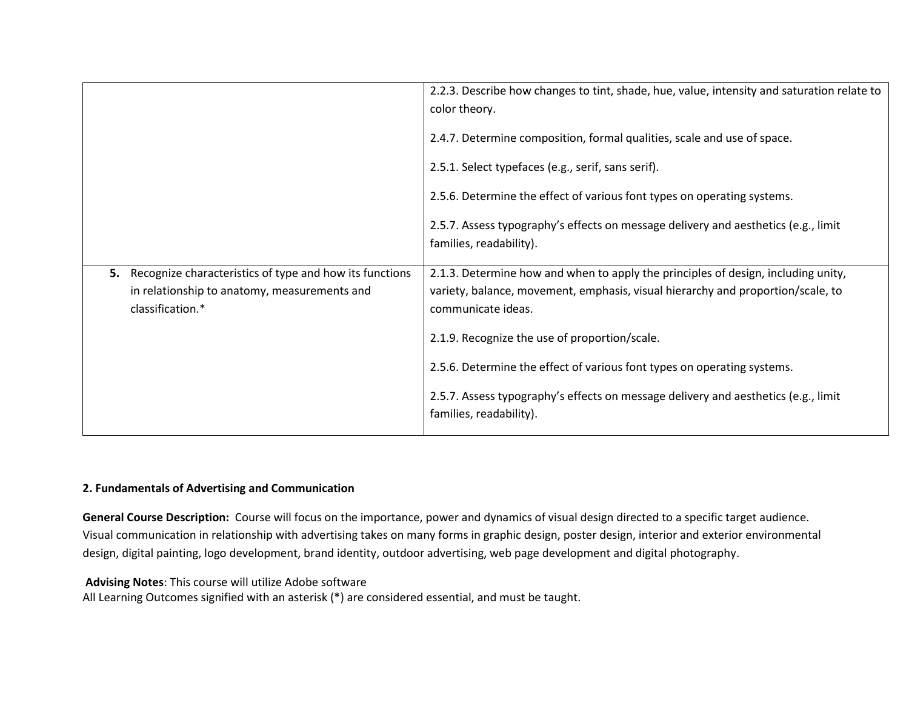|                                                               | 2.2.3. Describe how changes to tint, shade, hue, value, intensity and saturation relate to<br>color theory.   |
|---------------------------------------------------------------|---------------------------------------------------------------------------------------------------------------|
|                                                               | 2.4.7. Determine composition, formal qualities, scale and use of space.                                       |
|                                                               | 2.5.1. Select typefaces (e.g., serif, sans serif).                                                            |
|                                                               | 2.5.6. Determine the effect of various font types on operating systems.                                       |
|                                                               | 2.5.7. Assess typography's effects on message delivery and aesthetics (e.g., limit<br>families, readability). |
| Recognize characteristics of type and how its functions<br>5. | 2.1.3. Determine how and when to apply the principles of design, including unity,                             |
| in relationship to anatomy, measurements and                  | variety, balance, movement, emphasis, visual hierarchy and proportion/scale, to                               |
| classification.*                                              | communicate ideas.                                                                                            |
|                                                               | 2.1.9. Recognize the use of proportion/scale.                                                                 |
|                                                               | 2.5.6. Determine the effect of various font types on operating systems.                                       |
|                                                               | 2.5.7. Assess typography's effects on message delivery and aesthetics (e.g., limit<br>families, readability). |

### **2. Fundamentals of Advertising and Communication**

**General Course Description:** Course will focus on the importance, power and dynamics of visual design directed to a specific target audience. Visual communication in relationship with advertising takes on many forms in graphic design, poster design, interior and exterior environmental design, digital painting, logo development, brand identity, outdoor advertising, web page development and digital photography.

#### **Advising Notes**: This course will utilize Adobe software

All Learning Outcomes signified with an asterisk (\*) are considered essential, and must be taught.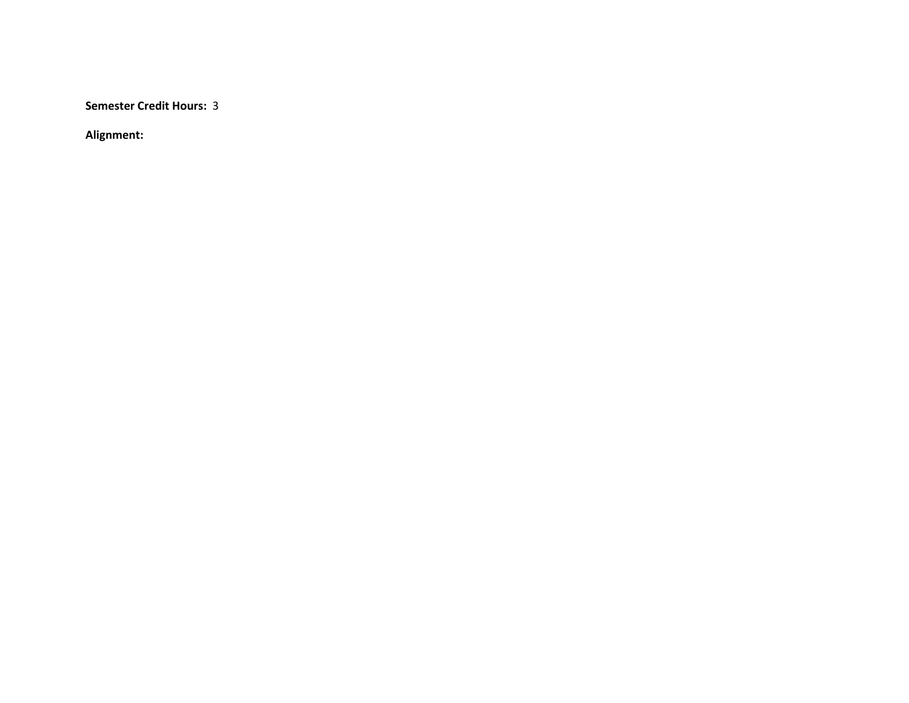**Semester Credit Hours:** 3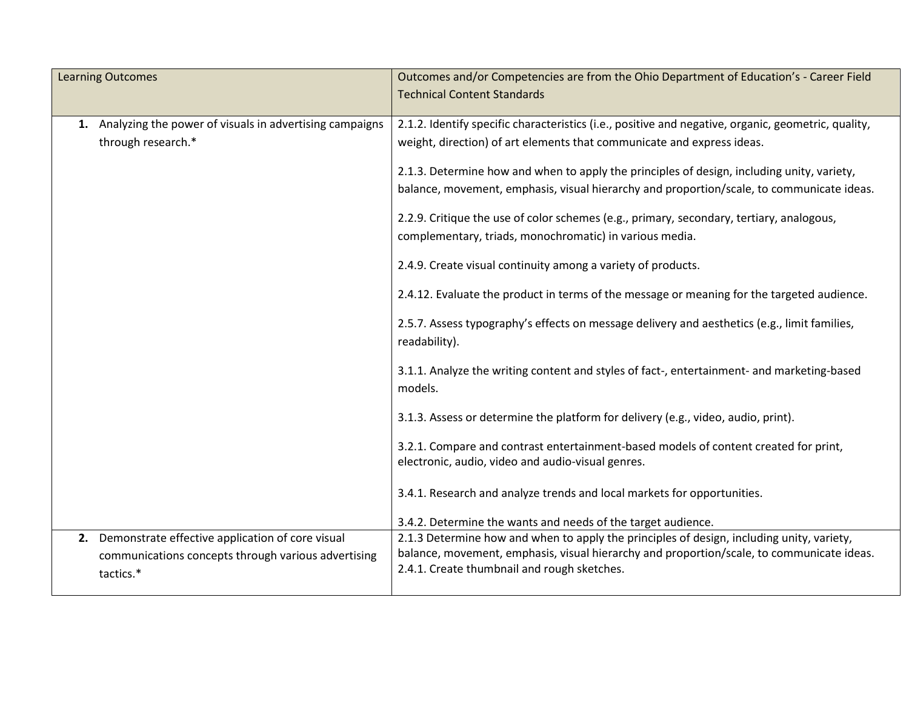| <b>Learning Outcomes</b>                                                                                                   | Outcomes and/or Competencies are from the Ohio Department of Education's - Career Field<br><b>Technical Content Standards</b>                                                                                                                                                                                                                                                                                                                                        |
|----------------------------------------------------------------------------------------------------------------------------|----------------------------------------------------------------------------------------------------------------------------------------------------------------------------------------------------------------------------------------------------------------------------------------------------------------------------------------------------------------------------------------------------------------------------------------------------------------------|
| 1. Analyzing the power of visuals in advertising campaigns<br>through research.*                                           | 2.1.2. Identify specific characteristics (i.e., positive and negative, organic, geometric, quality,<br>weight, direction) of art elements that communicate and express ideas.<br>2.1.3. Determine how and when to apply the principles of design, including unity, variety,<br>balance, movement, emphasis, visual hierarchy and proportion/scale, to communicate ideas.<br>2.2.9. Critique the use of color schemes (e.g., primary, secondary, tertiary, analogous, |
|                                                                                                                            | complementary, triads, monochromatic) in various media.<br>2.4.9. Create visual continuity among a variety of products.<br>2.4.12. Evaluate the product in terms of the message or meaning for the targeted audience.<br>2.5.7. Assess typography's effects on message delivery and aesthetics (e.g., limit families,                                                                                                                                                |
|                                                                                                                            | readability).<br>3.1.1. Analyze the writing content and styles of fact-, entertainment- and marketing-based<br>models.<br>3.1.3. Assess or determine the platform for delivery (e.g., video, audio, print).                                                                                                                                                                                                                                                          |
|                                                                                                                            | 3.2.1. Compare and contrast entertainment-based models of content created for print,<br>electronic, audio, video and audio-visual genres.<br>3.4.1. Research and analyze trends and local markets for opportunities.<br>3.4.2. Determine the wants and needs of the target audience.                                                                                                                                                                                 |
| Demonstrate effective application of core visual<br>2.<br>communications concepts through various advertising<br>tactics.* | 2.1.3 Determine how and when to apply the principles of design, including unity, variety,<br>balance, movement, emphasis, visual hierarchy and proportion/scale, to communicate ideas.<br>2.4.1. Create thumbnail and rough sketches.                                                                                                                                                                                                                                |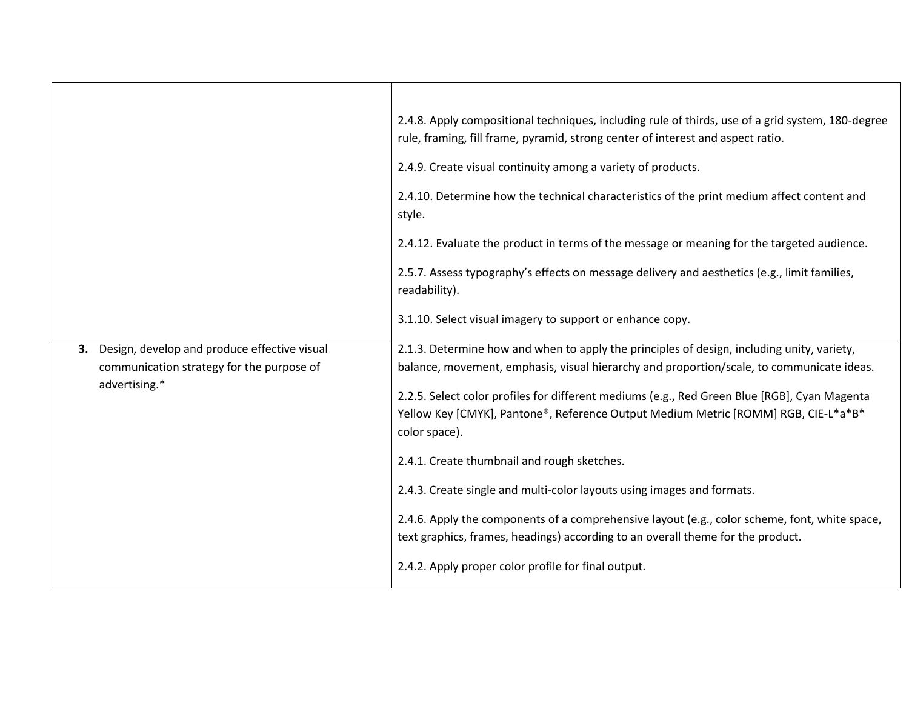|                                                                                                                  | 2.4.8. Apply compositional techniques, including rule of thirds, use of a grid system, 180-degree<br>rule, framing, fill frame, pyramid, strong center of interest and aspect ratio.                                                                                                                                                                                          |
|------------------------------------------------------------------------------------------------------------------|-------------------------------------------------------------------------------------------------------------------------------------------------------------------------------------------------------------------------------------------------------------------------------------------------------------------------------------------------------------------------------|
|                                                                                                                  | 2.4.9. Create visual continuity among a variety of products.                                                                                                                                                                                                                                                                                                                  |
|                                                                                                                  | 2.4.10. Determine how the technical characteristics of the print medium affect content and<br>style.                                                                                                                                                                                                                                                                          |
|                                                                                                                  | 2.4.12. Evaluate the product in terms of the message or meaning for the targeted audience.                                                                                                                                                                                                                                                                                    |
|                                                                                                                  | 2.5.7. Assess typography's effects on message delivery and aesthetics (e.g., limit families,<br>readability).                                                                                                                                                                                                                                                                 |
|                                                                                                                  | 3.1.10. Select visual imagery to support or enhance copy.                                                                                                                                                                                                                                                                                                                     |
| Design, develop and produce effective visual<br>3.<br>communication strategy for the purpose of<br>advertising.* | 2.1.3. Determine how and when to apply the principles of design, including unity, variety,<br>balance, movement, emphasis, visual hierarchy and proportion/scale, to communicate ideas.<br>2.2.5. Select color profiles for different mediums (e.g., Red Green Blue [RGB], Cyan Magenta<br>Yellow Key [CMYK], Pantone®, Reference Output Medium Metric [ROMM] RGB, CIE-L*a*B* |
|                                                                                                                  | color space).                                                                                                                                                                                                                                                                                                                                                                 |
|                                                                                                                  | 2.4.1. Create thumbnail and rough sketches.                                                                                                                                                                                                                                                                                                                                   |
|                                                                                                                  | 2.4.3. Create single and multi-color layouts using images and formats.                                                                                                                                                                                                                                                                                                        |
|                                                                                                                  | 2.4.6. Apply the components of a comprehensive layout (e.g., color scheme, font, white space,<br>text graphics, frames, headings) according to an overall theme for the product.                                                                                                                                                                                              |
|                                                                                                                  | 2.4.2. Apply proper color profile for final output.                                                                                                                                                                                                                                                                                                                           |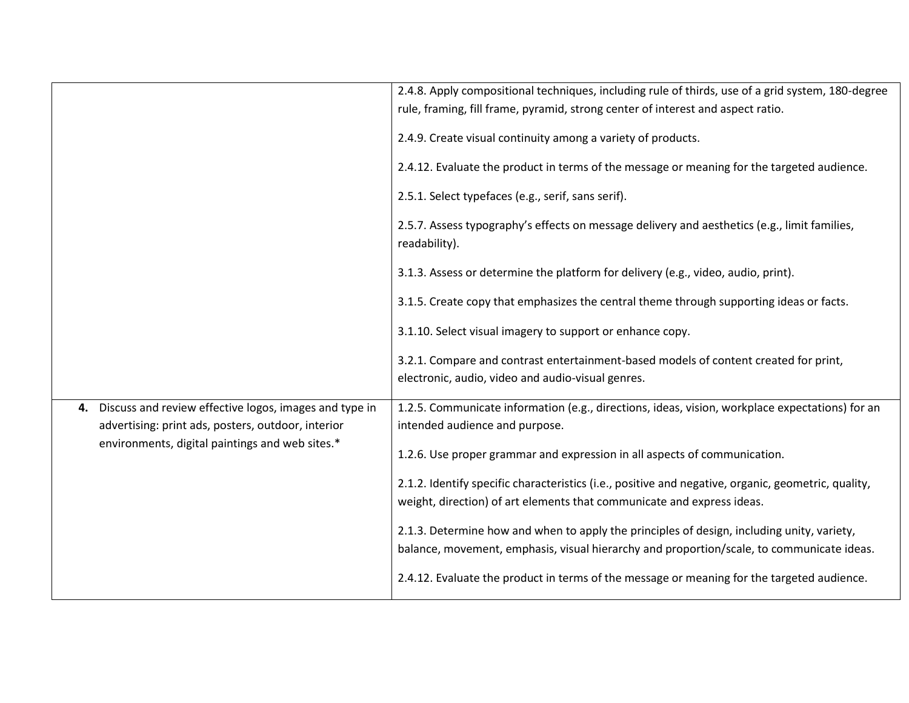|                                                                                                                    | 2.4.8. Apply compositional techniques, including rule of thirds, use of a grid system, 180-degree<br>rule, framing, fill frame, pyramid, strong center of interest and aspect ratio.    |
|--------------------------------------------------------------------------------------------------------------------|-----------------------------------------------------------------------------------------------------------------------------------------------------------------------------------------|
|                                                                                                                    | 2.4.9. Create visual continuity among a variety of products.                                                                                                                            |
|                                                                                                                    | 2.4.12. Evaluate the product in terms of the message or meaning for the targeted audience.                                                                                              |
|                                                                                                                    | 2.5.1. Select typefaces (e.g., serif, sans serif).                                                                                                                                      |
|                                                                                                                    | 2.5.7. Assess typography's effects on message delivery and aesthetics (e.g., limit families,<br>readability).                                                                           |
|                                                                                                                    | 3.1.3. Assess or determine the platform for delivery (e.g., video, audio, print).                                                                                                       |
|                                                                                                                    | 3.1.5. Create copy that emphasizes the central theme through supporting ideas or facts.                                                                                                 |
|                                                                                                                    | 3.1.10. Select visual imagery to support or enhance copy.                                                                                                                               |
|                                                                                                                    | 3.2.1. Compare and contrast entertainment-based models of content created for print,<br>electronic, audio, video and audio-visual genres.                                               |
| Discuss and review effective logos, images and type in<br>4.<br>advertising: print ads, posters, outdoor, interior | 1.2.5. Communicate information (e.g., directions, ideas, vision, workplace expectations) for an<br>intended audience and purpose.                                                       |
| environments, digital paintings and web sites.*                                                                    | 1.2.6. Use proper grammar and expression in all aspects of communication.                                                                                                               |
|                                                                                                                    | 2.1.2. Identify specific characteristics (i.e., positive and negative, organic, geometric, quality,<br>weight, direction) of art elements that communicate and express ideas.           |
|                                                                                                                    | 2.1.3. Determine how and when to apply the principles of design, including unity, variety,<br>balance, movement, emphasis, visual hierarchy and proportion/scale, to communicate ideas. |
|                                                                                                                    | 2.4.12. Evaluate the product in terms of the message or meaning for the targeted audience.                                                                                              |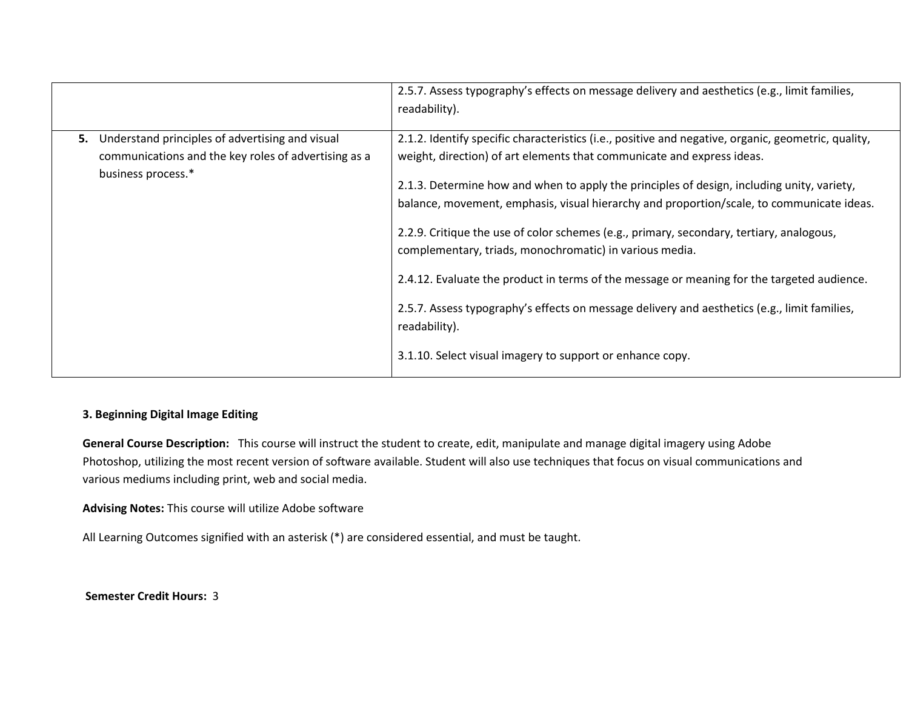|                                                                                                                                     | 2.5.7. Assess typography's effects on message delivery and aesthetics (e.g., limit families,<br>readability).                                                                                                                                                                                                                                                                                                                                                                                                                                                                                                                                                                                                                                                                                               |
|-------------------------------------------------------------------------------------------------------------------------------------|-------------------------------------------------------------------------------------------------------------------------------------------------------------------------------------------------------------------------------------------------------------------------------------------------------------------------------------------------------------------------------------------------------------------------------------------------------------------------------------------------------------------------------------------------------------------------------------------------------------------------------------------------------------------------------------------------------------------------------------------------------------------------------------------------------------|
| Understand principles of advertising and visual<br>5.<br>communications and the key roles of advertising as a<br>business process.* | 2.1.2. Identify specific characteristics (i.e., positive and negative, organic, geometric, quality,<br>weight, direction) of art elements that communicate and express ideas.<br>2.1.3. Determine how and when to apply the principles of design, including unity, variety,<br>balance, movement, emphasis, visual hierarchy and proportion/scale, to communicate ideas.<br>2.2.9. Critique the use of color schemes (e.g., primary, secondary, tertiary, analogous,<br>complementary, triads, monochromatic) in various media.<br>2.4.12. Evaluate the product in terms of the message or meaning for the targeted audience.<br>2.5.7. Assess typography's effects on message delivery and aesthetics (e.g., limit families,<br>readability).<br>3.1.10. Select visual imagery to support or enhance copy. |

### **3. Beginning Digital Image Editing**

**General Course Description:** This course will instruct the student to create, edit, manipulate and manage digital imagery using Adobe Photoshop, utilizing the most recent version of software available. Student will also use techniques that focus on visual communications and various mediums including print, web and social media.

**Advising Notes:** This course will utilize Adobe software

All Learning Outcomes signified with an asterisk (\*) are considered essential, and must be taught.

**Semester Credit Hours:** 3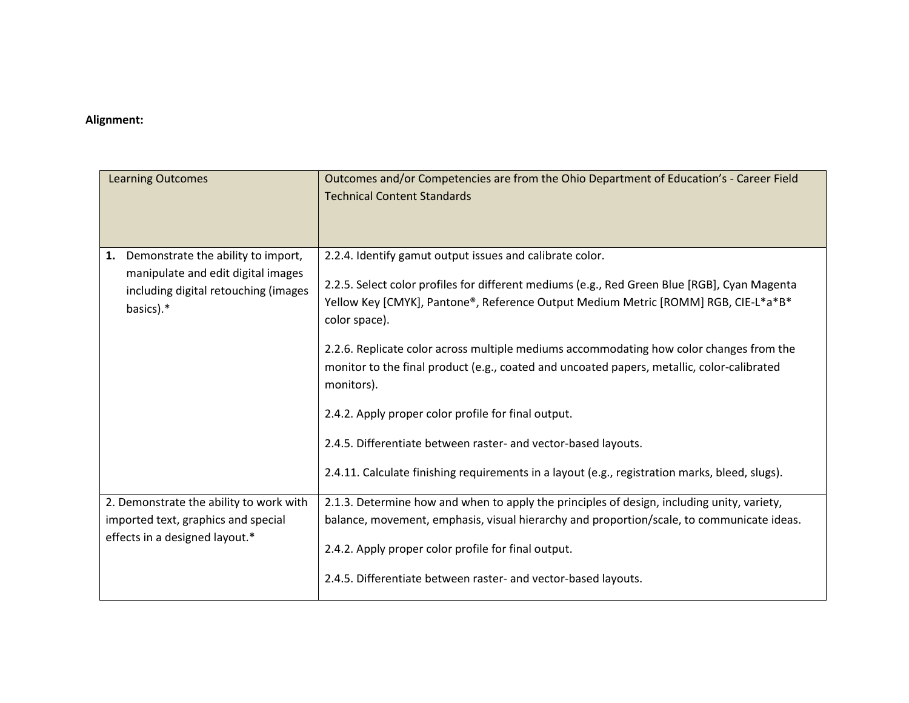| <b>Learning Outcomes</b>                                                                                                            | Outcomes and/or Competencies are from the Ohio Department of Education's - Career Field<br><b>Technical Content Standards</b>                                                                                                                                   |
|-------------------------------------------------------------------------------------------------------------------------------------|-----------------------------------------------------------------------------------------------------------------------------------------------------------------------------------------------------------------------------------------------------------------|
| Demonstrate the ability to import,<br>1.<br>manipulate and edit digital images<br>including digital retouching (images<br>basics).* | 2.2.4. Identify gamut output issues and calibrate color.<br>2.2.5. Select color profiles for different mediums (e.g., Red Green Blue [RGB], Cyan Magenta<br>Yellow Key [CMYK], Pantone®, Reference Output Medium Metric [ROMM] RGB, CIE-L*a*B*<br>color space). |
|                                                                                                                                     | 2.2.6. Replicate color across multiple mediums accommodating how color changes from the<br>monitor to the final product (e.g., coated and uncoated papers, metallic, color-calibrated<br>monitors).                                                             |
|                                                                                                                                     | 2.4.2. Apply proper color profile for final output.                                                                                                                                                                                                             |
|                                                                                                                                     | 2.4.5. Differentiate between raster- and vector-based layouts.                                                                                                                                                                                                  |
|                                                                                                                                     | 2.4.11. Calculate finishing requirements in a layout (e.g., registration marks, bleed, slugs).                                                                                                                                                                  |
| 2. Demonstrate the ability to work with                                                                                             | 2.1.3. Determine how and when to apply the principles of design, including unity, variety,                                                                                                                                                                      |
| imported text, graphics and special                                                                                                 | balance, movement, emphasis, visual hierarchy and proportion/scale, to communicate ideas.                                                                                                                                                                       |
| effects in a designed layout.*                                                                                                      | 2.4.2. Apply proper color profile for final output.                                                                                                                                                                                                             |
|                                                                                                                                     | 2.4.5. Differentiate between raster- and vector-based layouts.                                                                                                                                                                                                  |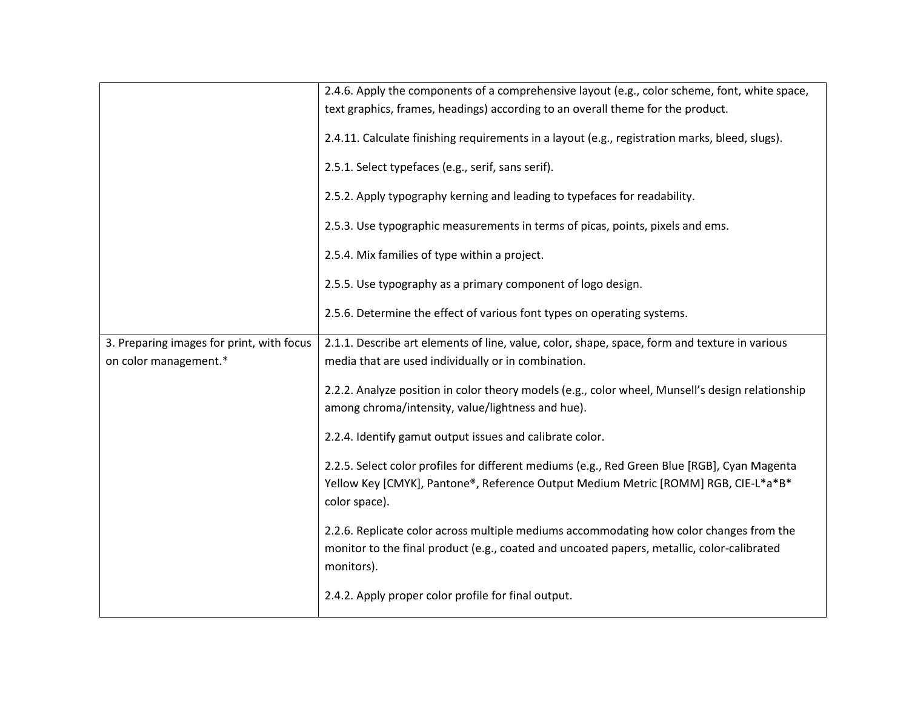|                                           | 2.4.6. Apply the components of a comprehensive layout (e.g., color scheme, font, white space,                                                                                                       |
|-------------------------------------------|-----------------------------------------------------------------------------------------------------------------------------------------------------------------------------------------------------|
|                                           | text graphics, frames, headings) according to an overall theme for the product.                                                                                                                     |
|                                           | 2.4.11. Calculate finishing requirements in a layout (e.g., registration marks, bleed, slugs).                                                                                                      |
|                                           | 2.5.1. Select typefaces (e.g., serif, sans serif).                                                                                                                                                  |
|                                           | 2.5.2. Apply typography kerning and leading to typefaces for readability.                                                                                                                           |
|                                           | 2.5.3. Use typographic measurements in terms of picas, points, pixels and ems.                                                                                                                      |
|                                           | 2.5.4. Mix families of type within a project.                                                                                                                                                       |
|                                           | 2.5.5. Use typography as a primary component of logo design.                                                                                                                                        |
|                                           | 2.5.6. Determine the effect of various font types on operating systems.                                                                                                                             |
| 3. Preparing images for print, with focus | 2.1.1. Describe art elements of line, value, color, shape, space, form and texture in various                                                                                                       |
| on color management.*                     | media that are used individually or in combination.                                                                                                                                                 |
|                                           | 2.2.2. Analyze position in color theory models (e.g., color wheel, Munsell's design relationship<br>among chroma/intensity, value/lightness and hue).                                               |
|                                           | 2.2.4. Identify gamut output issues and calibrate color.                                                                                                                                            |
|                                           | 2.2.5. Select color profiles for different mediums (e.g., Red Green Blue [RGB], Cyan Magenta<br>Yellow Key [CMYK], Pantone®, Reference Output Medium Metric [ROMM] RGB, CIE-L*a*B*<br>color space). |
|                                           | 2.2.6. Replicate color across multiple mediums accommodating how color changes from the<br>monitor to the final product (e.g., coated and uncoated papers, metallic, color-calibrated<br>monitors). |
|                                           | 2.4.2. Apply proper color profile for final output.                                                                                                                                                 |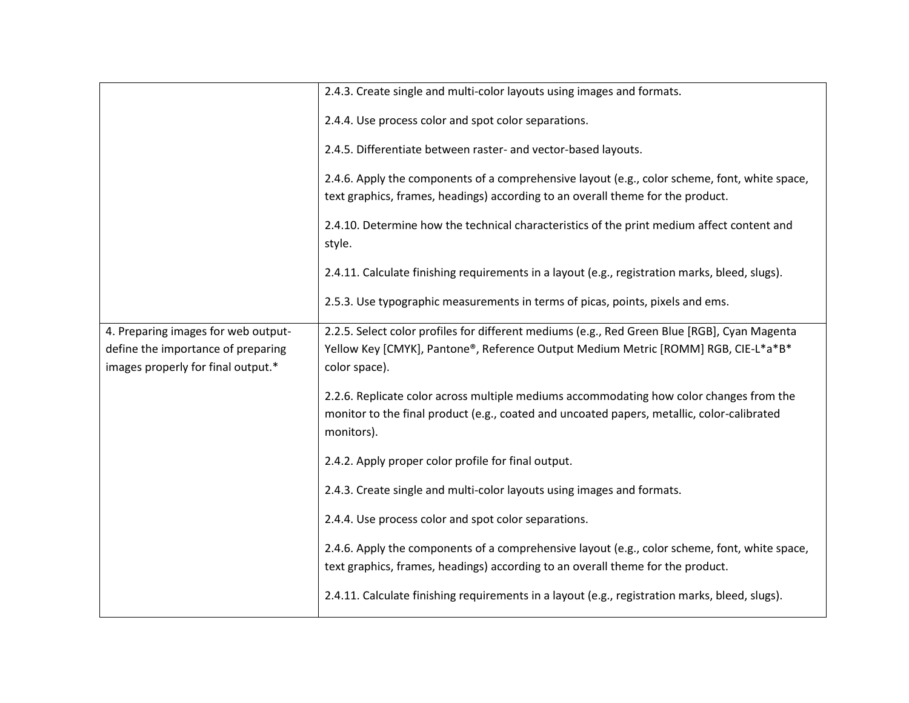|                                                                                                                 | 2.4.3. Create single and multi-color layouts using images and formats.                                                                                                                              |
|-----------------------------------------------------------------------------------------------------------------|-----------------------------------------------------------------------------------------------------------------------------------------------------------------------------------------------------|
|                                                                                                                 | 2.4.4. Use process color and spot color separations.                                                                                                                                                |
|                                                                                                                 | 2.4.5. Differentiate between raster- and vector-based layouts.                                                                                                                                      |
|                                                                                                                 | 2.4.6. Apply the components of a comprehensive layout (e.g., color scheme, font, white space,<br>text graphics, frames, headings) according to an overall theme for the product.                    |
|                                                                                                                 | 2.4.10. Determine how the technical characteristics of the print medium affect content and<br>style.                                                                                                |
|                                                                                                                 | 2.4.11. Calculate finishing requirements in a layout (e.g., registration marks, bleed, slugs).                                                                                                      |
|                                                                                                                 | 2.5.3. Use typographic measurements in terms of picas, points, pixels and ems.                                                                                                                      |
| 4. Preparing images for web output-<br>define the importance of preparing<br>images properly for final output.* | 2.2.5. Select color profiles for different mediums (e.g., Red Green Blue [RGB], Cyan Magenta<br>Yellow Key [CMYK], Pantone®, Reference Output Medium Metric [ROMM] RGB, CIE-L*a*B*<br>color space). |
|                                                                                                                 | 2.2.6. Replicate color across multiple mediums accommodating how color changes from the<br>monitor to the final product (e.g., coated and uncoated papers, metallic, color-calibrated<br>monitors). |
|                                                                                                                 | 2.4.2. Apply proper color profile for final output.                                                                                                                                                 |
|                                                                                                                 | 2.4.3. Create single and multi-color layouts using images and formats.                                                                                                                              |
|                                                                                                                 | 2.4.4. Use process color and spot color separations.                                                                                                                                                |
|                                                                                                                 | 2.4.6. Apply the components of a comprehensive layout (e.g., color scheme, font, white space,<br>text graphics, frames, headings) according to an overall theme for the product.                    |
|                                                                                                                 | 2.4.11. Calculate finishing requirements in a layout (e.g., registration marks, bleed, slugs).                                                                                                      |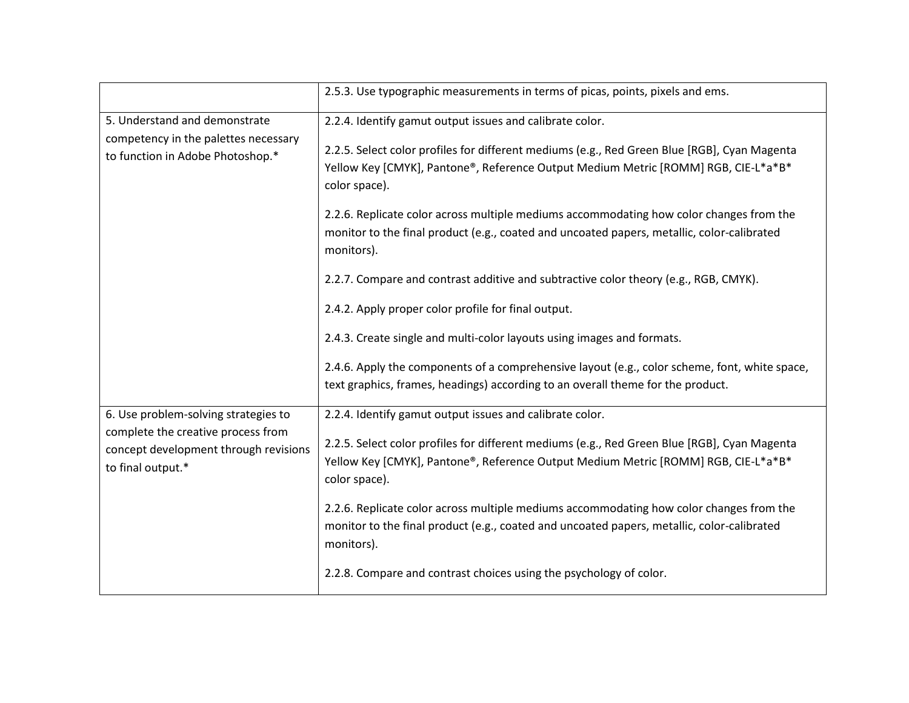|                                                                            | 2.5.3. Use typographic measurements in terms of picas, points, pixels and ems.                                                                                                                      |
|----------------------------------------------------------------------------|-----------------------------------------------------------------------------------------------------------------------------------------------------------------------------------------------------|
| 5. Understand and demonstrate                                              | 2.2.4. Identify gamut output issues and calibrate color.                                                                                                                                            |
| competency in the palettes necessary                                       | 2.2.5. Select color profiles for different mediums (e.g., Red Green Blue [RGB], Cyan Magenta                                                                                                        |
| to function in Adobe Photoshop.*                                           | Yellow Key [CMYK], Pantone®, Reference Output Medium Metric [ROMM] RGB, CIE-L*a*B*<br>color space).                                                                                                 |
|                                                                            | 2.2.6. Replicate color across multiple mediums accommodating how color changes from the<br>monitor to the final product (e.g., coated and uncoated papers, metallic, color-calibrated<br>monitors). |
|                                                                            | 2.2.7. Compare and contrast additive and subtractive color theory (e.g., RGB, CMYK).                                                                                                                |
|                                                                            | 2.4.2. Apply proper color profile for final output.                                                                                                                                                 |
|                                                                            | 2.4.3. Create single and multi-color layouts using images and formats.                                                                                                                              |
|                                                                            | 2.4.6. Apply the components of a comprehensive layout (e.g., color scheme, font, white space,                                                                                                       |
|                                                                            | text graphics, frames, headings) according to an overall theme for the product.                                                                                                                     |
| 6. Use problem-solving strategies to<br>complete the creative process from | 2.2.4. Identify gamut output issues and calibrate color.                                                                                                                                            |
| concept development through revisions                                      | 2.2.5. Select color profiles for different mediums (e.g., Red Green Blue [RGB], Cyan Magenta                                                                                                        |
| to final output.*                                                          | Yellow Key [CMYK], Pantone®, Reference Output Medium Metric [ROMM] RGB, CIE-L*a*B*<br>color space).                                                                                                 |
|                                                                            | 2.2.6. Replicate color across multiple mediums accommodating how color changes from the<br>monitor to the final product (e.g., coated and uncoated papers, metallic, color-calibrated<br>monitors). |
|                                                                            | 2.2.8. Compare and contrast choices using the psychology of color.                                                                                                                                  |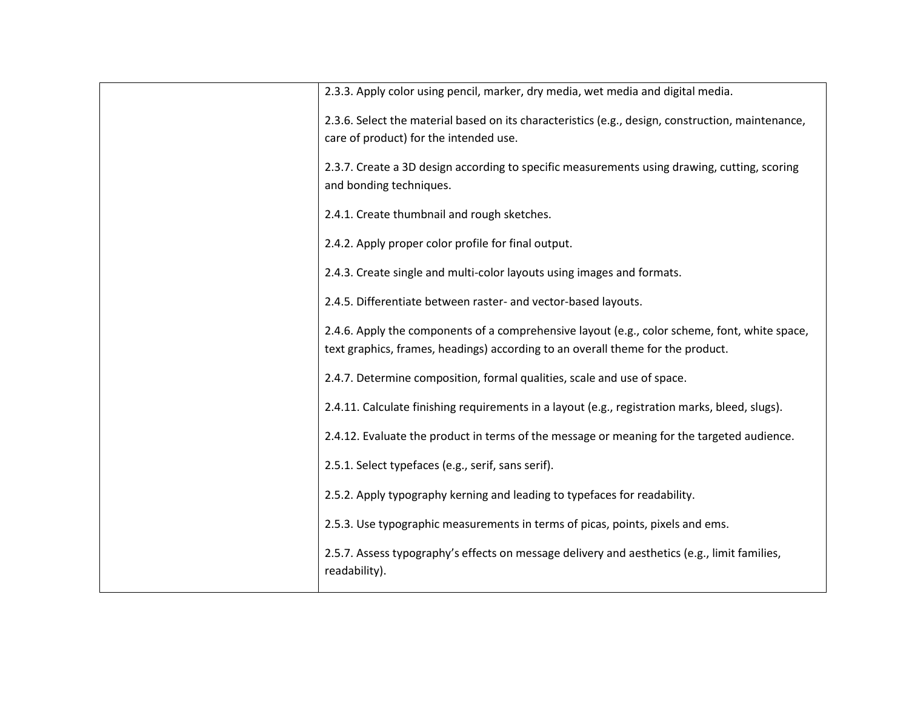| 2.3.3. Apply color using pencil, marker, dry media, wet media and digital media.                                                                                                 |
|----------------------------------------------------------------------------------------------------------------------------------------------------------------------------------|
| 2.3.6. Select the material based on its characteristics (e.g., design, construction, maintenance,<br>care of product) for the intended use.                                      |
| 2.3.7. Create a 3D design according to specific measurements using drawing, cutting, scoring<br>and bonding techniques.                                                          |
| 2.4.1. Create thumbnail and rough sketches.                                                                                                                                      |
| 2.4.2. Apply proper color profile for final output.                                                                                                                              |
| 2.4.3. Create single and multi-color layouts using images and formats.                                                                                                           |
| 2.4.5. Differentiate between raster- and vector-based layouts.                                                                                                                   |
| 2.4.6. Apply the components of a comprehensive layout (e.g., color scheme, font, white space,<br>text graphics, frames, headings) according to an overall theme for the product. |
| 2.4.7. Determine composition, formal qualities, scale and use of space.                                                                                                          |
| 2.4.11. Calculate finishing requirements in a layout (e.g., registration marks, bleed, slugs).                                                                                   |
| 2.4.12. Evaluate the product in terms of the message or meaning for the targeted audience.                                                                                       |
| 2.5.1. Select typefaces (e.g., serif, sans serif).                                                                                                                               |
| 2.5.2. Apply typography kerning and leading to typefaces for readability.                                                                                                        |
| 2.5.3. Use typographic measurements in terms of picas, points, pixels and ems.                                                                                                   |
| 2.5.7. Assess typography's effects on message delivery and aesthetics (e.g., limit families,<br>readability).                                                                    |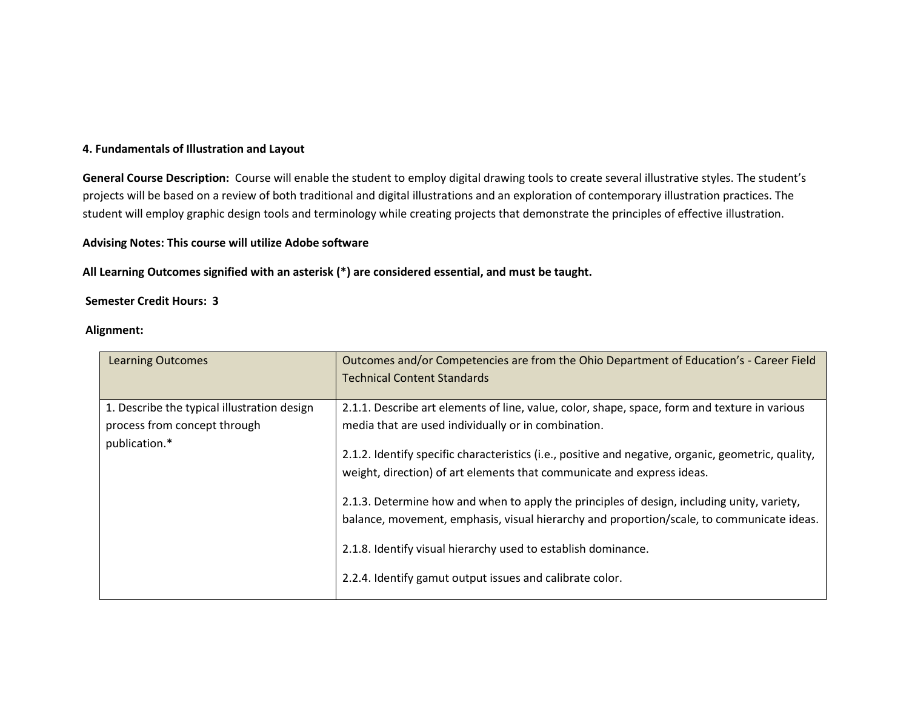#### **4. Fundamentals of Illustration and Layout**

**General Course Description:** Course will enable the student to employ digital drawing tools to create several illustrative styles. The student's projects will be based on a review of both traditional and digital illustrations and an exploration of contemporary illustration practices. The student will employ graphic design tools and terminology while creating projects that demonstrate the principles of effective illustration.

#### **Advising Notes: This course will utilize Adobe software**

**All Learning Outcomes signified with an asterisk (\*) are considered essential, and must be taught.** 

#### **Semester Credit Hours: 3**

| <b>Learning Outcomes</b>                                                                     | Outcomes and/or Competencies are from the Ohio Department of Education's - Career Field<br><b>Technical Content Standards</b>                                                                                                                                                                                                                                                                                                                                                                                                                                                                                                                                 |
|----------------------------------------------------------------------------------------------|---------------------------------------------------------------------------------------------------------------------------------------------------------------------------------------------------------------------------------------------------------------------------------------------------------------------------------------------------------------------------------------------------------------------------------------------------------------------------------------------------------------------------------------------------------------------------------------------------------------------------------------------------------------|
| 1. Describe the typical illustration design<br>process from concept through<br>publication.* | 2.1.1. Describe art elements of line, value, color, shape, space, form and texture in various<br>media that are used individually or in combination.<br>2.1.2. Identify specific characteristics (i.e., positive and negative, organic, geometric, quality,<br>weight, direction) of art elements that communicate and express ideas.<br>2.1.3. Determine how and when to apply the principles of design, including unity, variety,<br>balance, movement, emphasis, visual hierarchy and proportion/scale, to communicate ideas.<br>2.1.8. Identify visual hierarchy used to establish dominance.<br>2.2.4. Identify gamut output issues and calibrate color. |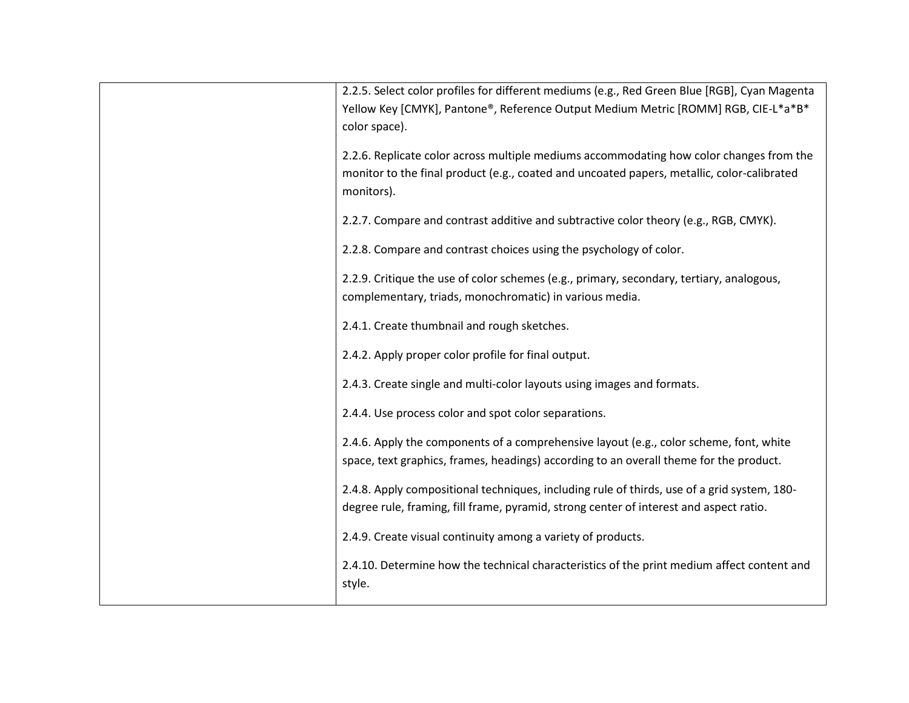| 2.2.5. Select color profiles for different mediums (e.g., Red Green Blue [RGB], Cyan Magenta<br>Yellow Key [CMYK], Pantone®, Reference Output Medium Metric [ROMM] RGB, CIE-L*a*B*<br>color space). |
|-----------------------------------------------------------------------------------------------------------------------------------------------------------------------------------------------------|
| 2.2.6. Replicate color across multiple mediums accommodating how color changes from the<br>monitor to the final product (e.g., coated and uncoated papers, metallic, color-calibrated<br>monitors). |
| 2.2.7. Compare and contrast additive and subtractive color theory (e.g., RGB, CMYK).                                                                                                                |
| 2.2.8. Compare and contrast choices using the psychology of color.                                                                                                                                  |
| 2.2.9. Critique the use of color schemes (e.g., primary, secondary, tertiary, analogous,<br>complementary, triads, monochromatic) in various media.                                                 |
| 2.4.1. Create thumbnail and rough sketches.                                                                                                                                                         |
| 2.4.2. Apply proper color profile for final output.                                                                                                                                                 |
| 2.4.3. Create single and multi-color layouts using images and formats.                                                                                                                              |
| 2.4.4. Use process color and spot color separations.                                                                                                                                                |
| 2.4.6. Apply the components of a comprehensive layout (e.g., color scheme, font, white<br>space, text graphics, frames, headings) according to an overall theme for the product.                    |
| 2.4.8. Apply compositional techniques, including rule of thirds, use of a grid system, 180-<br>degree rule, framing, fill frame, pyramid, strong center of interest and aspect ratio.               |
| 2.4.9. Create visual continuity among a variety of products.                                                                                                                                        |
| 2.4.10. Determine how the technical characteristics of the print medium affect content and<br>style.                                                                                                |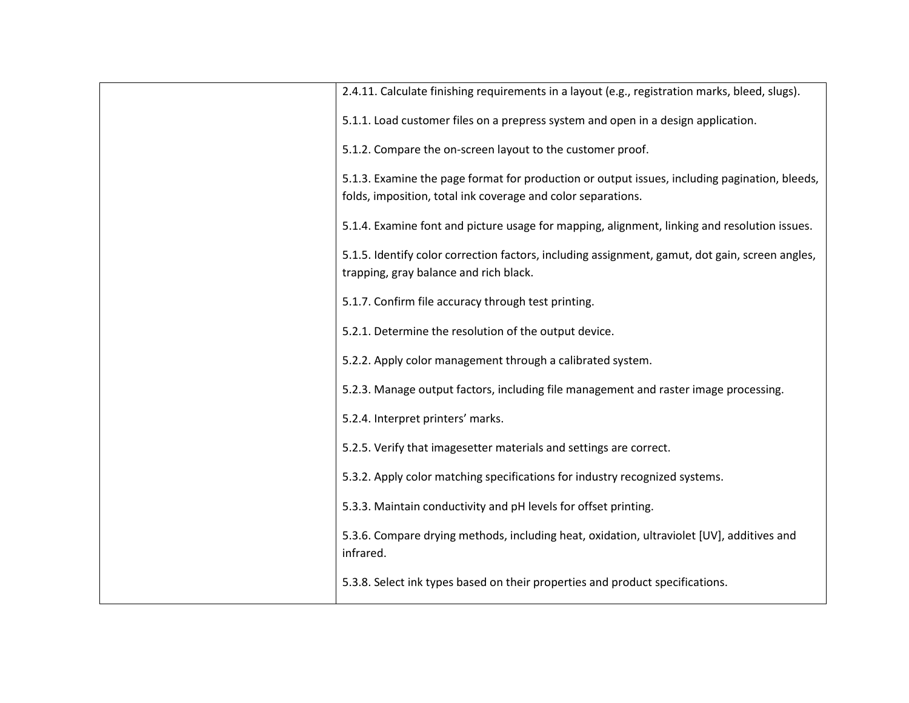| 2.4.11. Calculate finishing requirements in a layout (e.g., registration marks, bleed, slugs).         |
|--------------------------------------------------------------------------------------------------------|
| 5.1.1. Load customer files on a prepress system and open in a design application.                      |
| 5.1.2. Compare the on-screen layout to the customer proof.                                             |
| 5.1.3. Examine the page format for production or output issues, including pagination, bleeds,          |
| folds, imposition, total ink coverage and color separations.                                           |
| 5.1.4. Examine font and picture usage for mapping, alignment, linking and resolution issues.           |
| 5.1.5. Identify color correction factors, including assignment, gamut, dot gain, screen angles,        |
| trapping, gray balance and rich black.                                                                 |
| 5.1.7. Confirm file accuracy through test printing.                                                    |
| 5.2.1. Determine the resolution of the output device.                                                  |
| 5.2.2. Apply color management through a calibrated system.                                             |
| 5.2.3. Manage output factors, including file management and raster image processing.                   |
| 5.2.4. Interpret printers' marks.                                                                      |
| 5.2.5. Verify that imagesetter materials and settings are correct.                                     |
| 5.3.2. Apply color matching specifications for industry recognized systems.                            |
| 5.3.3. Maintain conductivity and pH levels for offset printing.                                        |
| 5.3.6. Compare drying methods, including heat, oxidation, ultraviolet [UV], additives and<br>infrared. |
| 5.3.8. Select ink types based on their properties and product specifications.                          |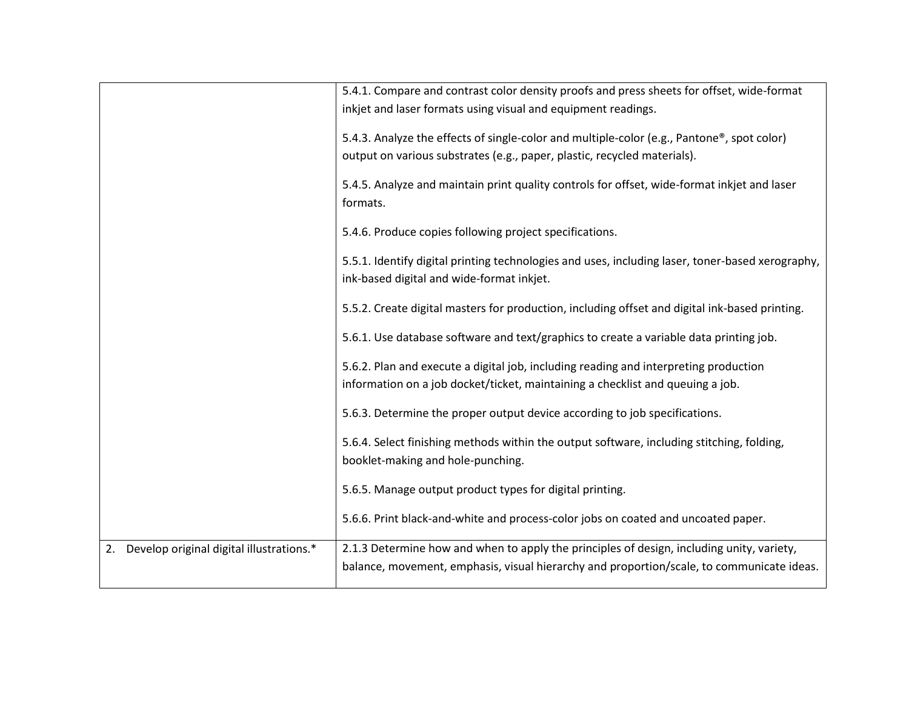|                                                | 5.4.1. Compare and contrast color density proofs and press sheets for offset, wide-format<br>inkjet and laser formats using visual and equipment readings.                             |
|------------------------------------------------|----------------------------------------------------------------------------------------------------------------------------------------------------------------------------------------|
|                                                | 5.4.3. Analyze the effects of single-color and multiple-color (e.g., Pantone®, spot color)<br>output on various substrates (e.g., paper, plastic, recycled materials).                 |
|                                                | 5.4.5. Analyze and maintain print quality controls for offset, wide-format inkjet and laser<br>formats.                                                                                |
|                                                | 5.4.6. Produce copies following project specifications.                                                                                                                                |
|                                                | 5.5.1. Identify digital printing technologies and uses, including laser, toner-based xerography,<br>ink-based digital and wide-format inkjet.                                          |
|                                                | 5.5.2. Create digital masters for production, including offset and digital ink-based printing.                                                                                         |
|                                                | 5.6.1. Use database software and text/graphics to create a variable data printing job.                                                                                                 |
|                                                | 5.6.2. Plan and execute a digital job, including reading and interpreting production<br>information on a job docket/ticket, maintaining a checklist and queuing a job.                 |
|                                                | 5.6.3. Determine the proper output device according to job specifications.                                                                                                             |
|                                                | 5.6.4. Select finishing methods within the output software, including stitching, folding,<br>booklet-making and hole-punching.                                                         |
|                                                | 5.6.5. Manage output product types for digital printing.                                                                                                                               |
|                                                | 5.6.6. Print black-and-white and process-color jobs on coated and uncoated paper.                                                                                                      |
| Develop original digital illustrations.*<br>2. | 2.1.3 Determine how and when to apply the principles of design, including unity, variety,<br>balance, movement, emphasis, visual hierarchy and proportion/scale, to communicate ideas. |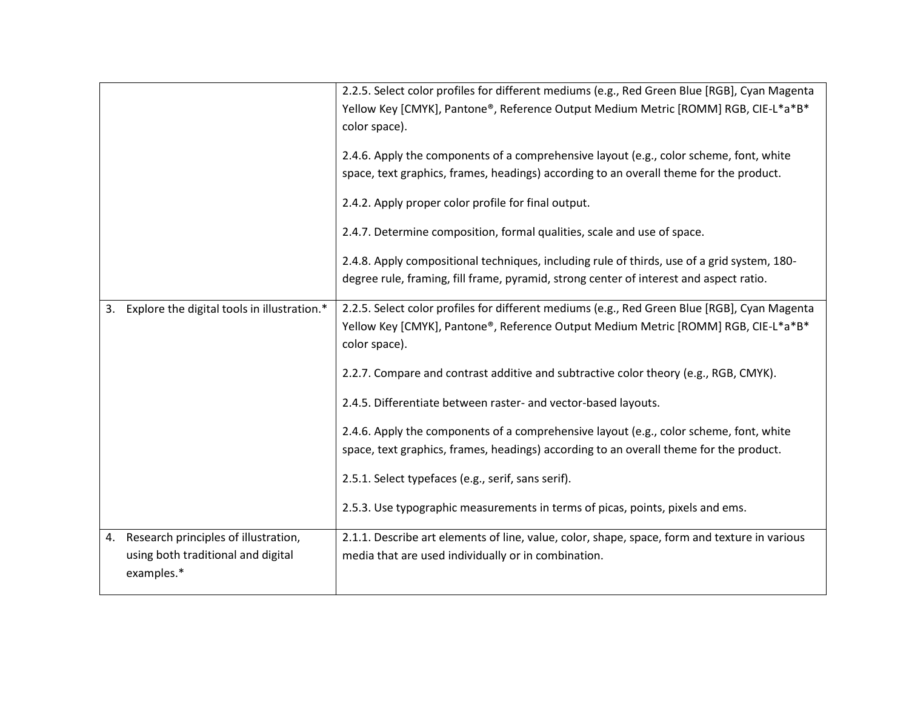|    |                                                                                          | 2.2.5. Select color profiles for different mediums (e.g., Red Green Blue [RGB], Cyan Magenta<br>Yellow Key [CMYK], Pantone®, Reference Output Medium Metric [ROMM] RGB, CIE-L*a*B*<br>color space).<br>2.4.6. Apply the components of a comprehensive layout (e.g., color scheme, font, white<br>space, text graphics, frames, headings) according to an overall theme for the product.<br>2.4.2. Apply proper color profile for final output.<br>2.4.7. Determine composition, formal qualities, scale and use of space.<br>2.4.8. Apply compositional techniques, including rule of thirds, use of a grid system, 180-<br>degree rule, framing, fill frame, pyramid, strong center of interest and aspect ratio. |
|----|------------------------------------------------------------------------------------------|--------------------------------------------------------------------------------------------------------------------------------------------------------------------------------------------------------------------------------------------------------------------------------------------------------------------------------------------------------------------------------------------------------------------------------------------------------------------------------------------------------------------------------------------------------------------------------------------------------------------------------------------------------------------------------------------------------------------|
| 3. | Explore the digital tools in illustration.*                                              | 2.2.5. Select color profiles for different mediums (e.g., Red Green Blue [RGB], Cyan Magenta<br>Yellow Key [CMYK], Pantone®, Reference Output Medium Metric [ROMM] RGB, CIE-L*a*B*<br>color space).<br>2.2.7. Compare and contrast additive and subtractive color theory (e.g., RGB, CMYK).<br>2.4.5. Differentiate between raster- and vector-based layouts.<br>2.4.6. Apply the components of a comprehensive layout (e.g., color scheme, font, white<br>space, text graphics, frames, headings) according to an overall theme for the product.<br>2.5.1. Select typefaces (e.g., serif, sans serif).<br>2.5.3. Use typographic measurements in terms of picas, points, pixels and ems.                          |
| 4. | Research principles of illustration,<br>using both traditional and digital<br>examples.* | 2.1.1. Describe art elements of line, value, color, shape, space, form and texture in various<br>media that are used individually or in combination.                                                                                                                                                                                                                                                                                                                                                                                                                                                                                                                                                               |